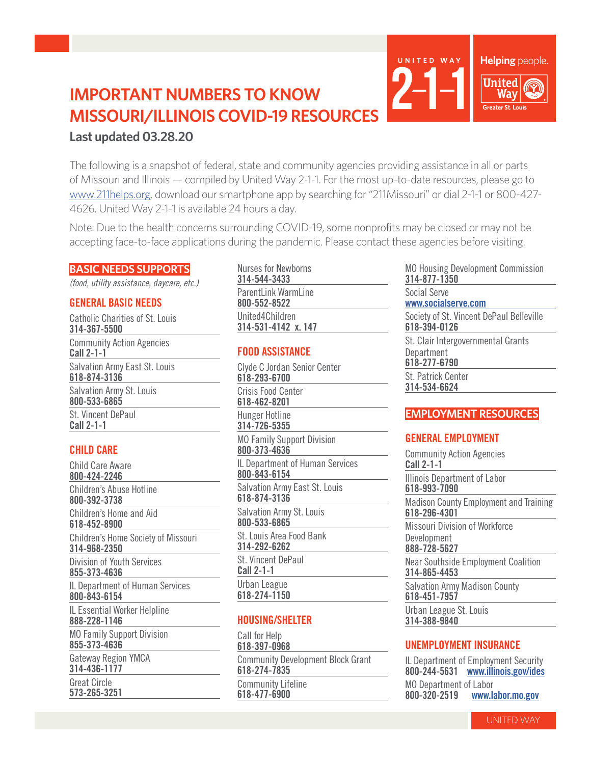# **IMPORTANT NUMBERS TO KNOW MISSOURI/ILLINOIS COVID-19 RESOURCES Last updated 03.28.20**

The following is a snapshot of federal, state and community agencies providing assistance in all or parts of Missouri and Illinois — compiled by United Way 2-1-1. For the most up-to-date resources, please go to www.211helps.org, download our smartphone app by searching for "211Missouri" or dial 2-1-1 or 800-427- 4626. United Way 2-1-1 is available 24 hours a day.

Note: Due to the health concerns surrounding COVID-19, some nonprofits may be closed or may not be accepting face-to-face applications during the pandemic. Please contact these agencies before visiting.

#### **BASIC NEEDS SUPPORTS**

*(food, utility assistance, daycare, etc.)*

### **GENERAL BASIC NEEDS**

Catholic Charities of St. Louis **314-367-5500** Community Action Agencies **Call 2-1-1** Salvation Army East St. Louis **618-874-3136** Salvation Army St. Louis **800-533-6865** St. Vincent DePaul **Call 2-1-1**

# **CHILD CARE**

Child Care Aware **800-424-2246** Children's Abuse Hotline **800-392-3738** Children's Home and Aid **618-452-8900** Children's Home Society of Missouri **314-968-2350** Division of Youth Services **855-373-4636** IL Department of Human Services **800-843-6154** IL Essential Worker Helpline **888-228-1146** MO Family Support Division **855-373-4636** Gateway Region YMCA **314-436-1177** Great Circle **573-265-3251**

Nurses for Newborns **314-544-3433** ParentLink WarmLine **800-552-8522** United4Children

# **FOOD ASSISTANCE**

**314-531-4142 x. 147**

Clyde C Jordan Senior Center **618-293-6700** Crisis Food Center **618-462-8201** Hunger Hotline **314-726-5355** MO Family Support Division **800-373-4636** IL Department of Human Services **800-843-6154** Salvation Army East St. Louis **618-874-3136** Salvation Army St. Louis **800-533-6865** St. Louis Area Food Bank **314-292-6262** St. Vincent DePaul **Call 2-1-1** Urban League **618-274-1150**

# **HOUSING/SHELTER**

Call for Help **618-397-0968** Community Development Block Grant **618-274-7835** Community Lifeline **618-477-6900**

MO Housing Development Commission **314-877-1350**

Helping people.

**United** Way ater St. Louis

Social Serve

UNITED WAY

**www.socialserve.com** Society of St. Vincent DePaul Belleville **618-394-0126** St. Clair Intergovernmental Grants **Department 618-277-6790** St. Patrick Center **314-534-6624**

# **EMPLOYMENT RESOURCES**

# **GENERAL EMPLOYMENT**

Community Action Agencies **Call 2-1-1** Illinois Department of Labor **618-993-7090** Madison County Employment and Training **618-296-4301** Missouri Division of Workforce Development **888-728-5627** Near Southside Employment Coalition **314-865-4453** Salvation Army Madison County **618-451-7957** Urban League St. Louis

**314-388-9840**

# **UNEMPLOYMENT INSURANCE**

IL Department of Employment Security **800-244-5631 www.illinois.gov/ides** MO Department of Labor<br>800-320-2519 www.la **800-320-2519 www.labor.mo.gov**

UNITED WAY